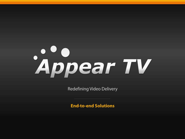# Appear TV

**Redefining Video Delivery** 

**End-to-end Solutions**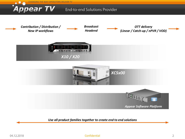

*Use all product families together to create end to end solutions*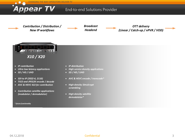**CHANGING THE WAY OPERATORS DELIVER TV Appear TV End-to-end Solutions Provider** *Broadcast Contribution / Distribution / OTT delivery New IP workflows Headend (Linear / Catch-up / nPVR / VOD)*  **UNUSUR M.STURES** *X10 / X20 IP contribution IP distribution Ultra low latency applications* **End to End the Service density applications**  *SD / HD / UHD End to end satellite solutions SD / HD / UHD SDI to IP (2022-6, 2110) End to end IPTV solutions AVC & HEVC encode / transcode\* TICO and JPEG2K encode / decode AVC & HEVC 422 for contribution*

 *Contribution satellite applications (modulator / demodulator)*

*\* future functionality*

- *Encode / decode High density Simulcrypt Modulate <i>scrambling*
- *Migh density satellite demodulator\**

*High quality OTT and IPTV encoding / transcoding*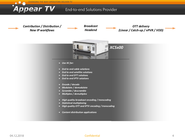**CHANGING THE WAY OPERATORS DELIVER TV** 

# **End-to-end Solutions Provider**

*Contribution / Distribution / New IP workflows*

**Appear TV** 

*Broadcast Headend*

*OTT delivery (Linear / Catch-up / nPVR / VOD)* 



- *Use XC for:*
- *End to end cable solutions*
- *End to end satellite solutions*
- *End to end DTT solutions*
- *End to end IPTV solutions*
- *Encode / decode*
- *Modulate / demodulate*
- *Scramble / descramble*
- *Multiplex / demultiplex*
- *High quality broadcast encoding / transcoding*
- *Statistical multiplexing*
- *High quality OTT and IPTV encoding / transcoding*
- *Content distribution applications*

### Confidential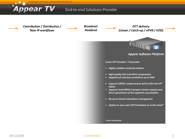**CHANGING THE WAY OPERATORS DELIVER TV** 

ppear TV

## **End-to-end Solutions Provider**